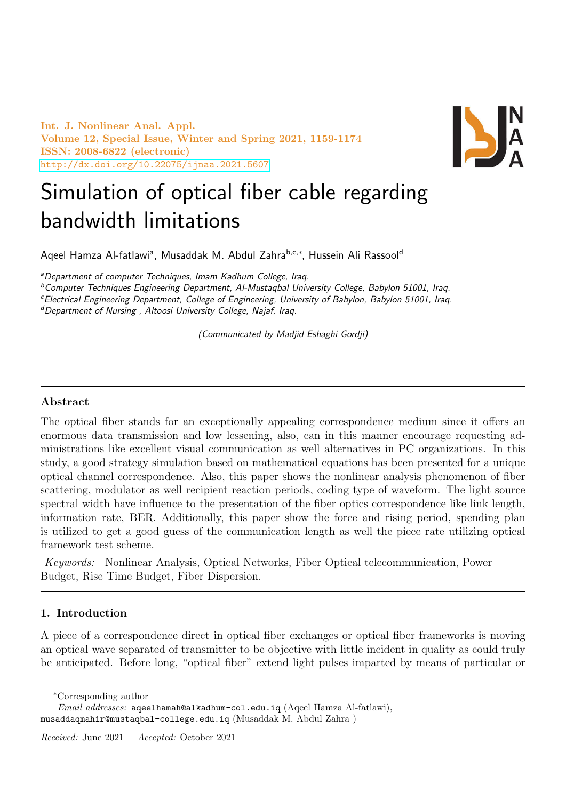Int. J. Nonlinear Anal. Appl. Volume 12, Special Issue, Winter and Spring 2021, 1159-1174 ISSN: 2008-6822 (electronic) <http://dx.doi.org/10.22075/ijnaa.2021.5607>



# Simulation of optical fiber cable regarding bandwidth limitations

Aqeel Hamza Al-fatlawiª, Musaddak M. Abdul Zahra<sup>b,c,∗</sup>, Hussein Ali Rassool<sup>d</sup>

<sup>a</sup>Department of computer Techniques, Imam Kadhum College, Iraq.

 $b$ Computer Techniques Engineering Department, Al-Mustaqbal University College, Babylon 51001, Iraq.

<sup>c</sup>Electrical Engineering Department, College of Engineering, University of Babylon, Babylon 51001, Iraq.

<sup>d</sup>Department of Nursing, Altoosi University College, Najaf, Iraq.

(Communicated by Madjid Eshaghi Gordji)

# Abstract

The optical fiber stands for an exceptionally appealing correspondence medium since it offers an enormous data transmission and low lessening, also, can in this manner encourage requesting administrations like excellent visual communication as well alternatives in PC organizations. In this study, a good strategy simulation based on mathematical equations has been presented for a unique optical channel correspondence. Also, this paper shows the nonlinear analysis phenomenon of fiber scattering, modulator as well recipient reaction periods, coding type of waveform. The light source spectral width have influence to the presentation of the fiber optics correspondence like link length, information rate, BER. Additionally, this paper show the force and rising period, spending plan is utilized to get a good guess of the communication length as well the piece rate utilizing optical framework test scheme.

Keywords: Nonlinear Analysis, Optical Networks, Fiber Optical telecommunication, Power Budget, Rise Time Budget, Fiber Dispersion.

#### 1. Introduction

A piece of a correspondence direct in optical fiber exchanges or optical fiber frameworks is moving an optical wave separated of transmitter to be objective with little incident in quality as could truly be anticipated. Before long, "optical fiber" extend light pulses imparted by means of particular or

<sup>∗</sup>Corresponding author

Email addresses: aqeelhamah@alkadhum-col.edu.iq (Aqeel Hamza Al-fatlawi), musaddaqmahir@mustaqbal-college.edu.iq (Musaddak M. Abdul Zahra )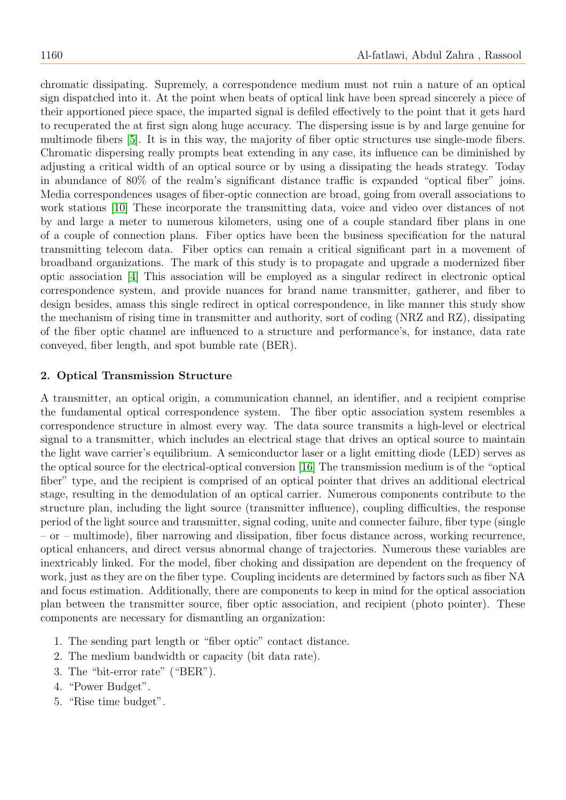chromatic dissipating. Supremely, a correspondence medium must not ruin a nature of an optical sign dispatched into it. At the point when beats of optical link have been spread sincerely a piece of their apportioned piece space, the imparted signal is defiled effectively to the point that it gets hard to recuperated the at first sign along huge accuracy. The dispersing issue is by and large genuine for multimode fibers [\[5\]](#page-15-0). It is in this way, the majority of fiber optic structures use single-mode fibers. Chromatic dispersing really prompts beat extending in any case, its influence can be diminished by adjusting a critical width of an optical source or by using a dissipating the heads strategy. Today in abundance of 80% of the realm's significant distance traffic is expanded "optical fiber" joins. Media correspondences usages of fiber-optic connection are broad, going from overall associations to work stations [\[10\]](#page-15-1) These incorporate the transmitting data, voice and video over distances of not by and large a meter to numerous kilometers, using one of a couple standard fiber plans in one of a couple of connection plans. Fiber optics have been the business specification for the natural transmitting telecom data. Fiber optics can remain a critical significant part in a movement of broadband organizations. The mark of this study is to propagate and upgrade a modernized fiber optic association [\[4\]](#page-15-2) This association will be employed as a singular redirect in electronic optical correspondence system, and provide nuances for brand name transmitter, gatherer, and fiber to design besides, amass this single redirect in optical correspondence, in like manner this study show the mechanism of rising time in transmitter and authority, sort of coding (NRZ and RZ), dissipating of the fiber optic channel are influenced to a structure and performance's, for instance, data rate conveyed, fiber length, and spot bumble rate (BER).

### 2. Optical Transmission Structure

A transmitter, an optical origin, a communication channel, an identifier, and a recipient comprise the fundamental optical correspondence system. The fiber optic association system resembles a correspondence structure in almost every way. The data source transmits a high-level or electrical signal to a transmitter, which includes an electrical stage that drives an optical source to maintain the light wave carrier's equilibrium. A semiconductor laser or a light emitting diode (LED) serves as the optical source for the electrical-optical conversion [\[16\]](#page-15-3) The transmission medium is of the "optical fiber" type, and the recipient is comprised of an optical pointer that drives an additional electrical stage, resulting in the demodulation of an optical carrier. Numerous components contribute to the structure plan, including the light source (transmitter influence), coupling difficulties, the response period of the light source and transmitter, signal coding, unite and connecter failure, fiber type (single – or – multimode), fiber narrowing and dissipation, fiber focus distance across, working recurrence, optical enhancers, and direct versus abnormal change of trajectories. Numerous these variables are inextricably linked. For the model, fiber choking and dissipation are dependent on the frequency of work, just as they are on the fiber type. Coupling incidents are determined by factors such as fiber NA and focus estimation. Additionally, there are components to keep in mind for the optical association plan between the transmitter source, fiber optic association, and recipient (photo pointer). These components are necessary for dismantling an organization:

- 1. The sending part length or "fiber optic" contact distance.
- 2. The medium bandwidth or capacity (bit data rate).
- 3. The "bit-error rate" ("BER").
- 4. "Power Budget".
- 5. "Rise time budget".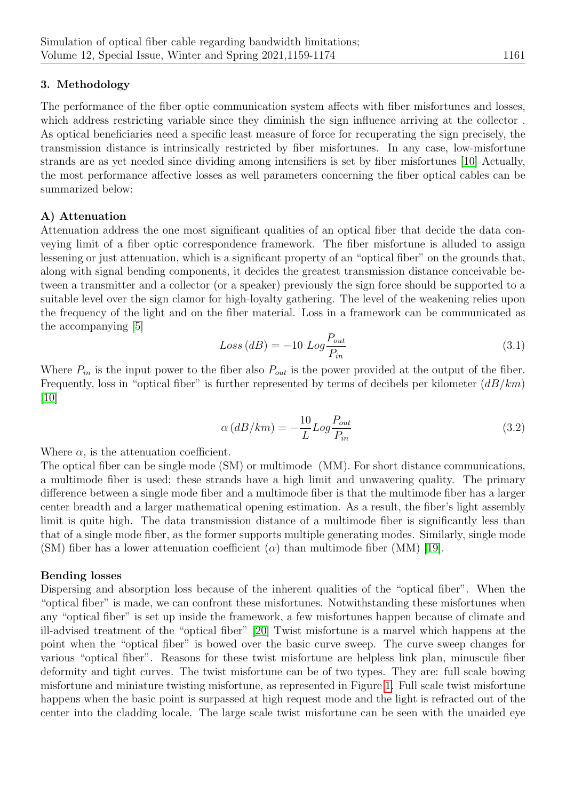## 3. Methodology

The performance of the fiber optic communication system affects with fiber misfortunes and losses, which address restricting variable since they diminish the sign influence arriving at the collector. As optical beneficiaries need a specific least measure of force for recuperating the sign precisely, the transmission distance is intrinsically restricted by fiber misfortunes. In any case, low-misfortune strands are as yet needed since dividing among intensifiers is set by fiber misfortunes [\[10\]](#page-15-1) Actually, the most performance affective losses as well parameters concerning the fiber optical cables can be summarized below:

#### A) Attenuation

Attenuation address the one most significant qualities of an optical fiber that decide the data conveying limit of a fiber optic correspondence framework. The fiber misfortune is alluded to assign lessening or just attenuation, which is a significant property of an "optical fiber" on the grounds that, along with signal bending components, it decides the greatest transmission distance conceivable between a transmitter and a collector (or a speaker) previously the sign force should be supported to a suitable level over the sign clamor for high-loyalty gathering. The level of the weakening relies upon the frequency of the light and on the fiber material. Loss in a framework can be communicated as the accompanying [\[5\]](#page-15-0)

$$
Loss (dB) = -10 Log \frac{P_{out}}{P_{in}} \tag{3.1}
$$

Where  $P_{in}$  is the input power to the fiber also  $P_{out}$  is the power provided at the output of the fiber. Frequently, loss in "optical fiber" is further represented by terms of decibels per kilometer  $(dB/km)$ [\[10\]](#page-15-1)

$$
\alpha (dB/km) = -\frac{10}{L} Log \frac{P_{out}}{P_{in}} \tag{3.2}
$$

Where  $\alpha$ , is the attenuation coefficient.

The optical fiber can be single mode (SM) or multimode (MM). For short distance communications, a multimode fiber is used; these strands have a high limit and unwavering quality. The primary difference between a single mode fiber and a multimode fiber is that the multimode fiber has a larger center breadth and a larger mathematical opening estimation. As a result, the fiber's light assembly limit is quite high. The data transmission distance of a multimode fiber is significantly less than that of a single mode fiber, as the former supports multiple generating modes. Similarly, single mode (SM) fiber has a lower attenuation coefficient ( $\alpha$ ) than multimode fiber (MM) [\[19\]](#page-15-4).

#### Bending losses

Dispersing and absorption loss because of the inherent qualities of the "optical fiber". When the "optical fiber" is made, we can confront these misfortunes. Notwithstanding these misfortunes when any "optical fiber" is set up inside the framework, a few misfortunes happen because of climate and ill-advised treatment of the "optical fiber" [\[20\]](#page-15-5) Twist misfortune is a marvel which happens at the point when the "optical fiber" is bowed over the basic curve sweep. The curve sweep changes for various "optical fiber". Reasons for these twist misfortune are helpless link plan, minuscule fiber deformity and tight curves. The twist misfortune can be of two types. They are: full scale bowing misfortune and miniature twisting misfortune, as represented in Figure [1.](#page-3-0) Full scale twist misfortune happens when the basic point is surpassed at high request mode and the light is refracted out of the center into the cladding locale. The large scale twist misfortune can be seen with the unaided eye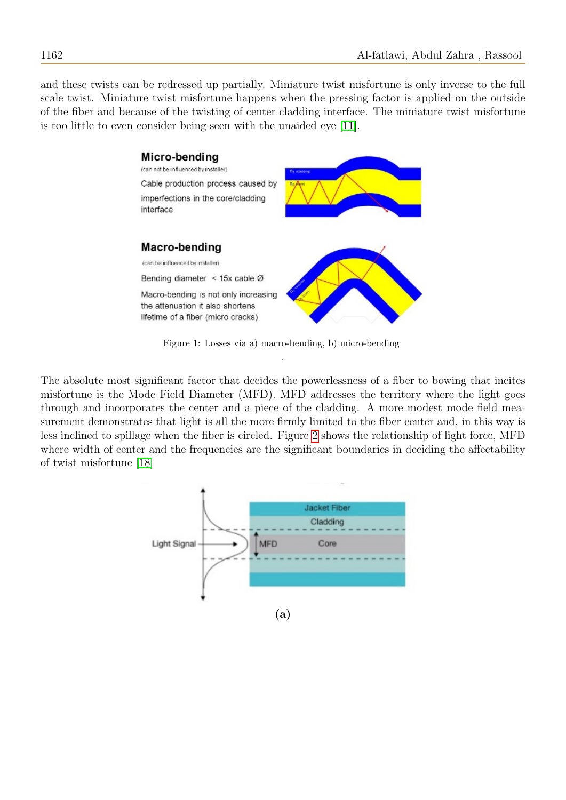and these twists can be redressed up partially. Miniature twist misfortune is only inverse to the full scale twist. Miniature twist misfortune happens when the pressing factor is applied on the outside of the fiber and because of the twisting of center cladding interface. The miniature twist misfortune is too little to even consider being seen with the unaided eye [\[11\]](#page-15-6).



<span id="page-3-0"></span>Figure 1: Losses via a) macro-bending, b) micro-bending .

The absolute most significant factor that decides the powerlessness of a fiber to bowing that incites misfortune is the Mode Field Diameter (MFD). MFD addresses the territory where the light goes through and incorporates the center and a piece of the cladding. A more modest mode field measurement demonstrates that light is all the more firmly limited to the fiber center and, in this way is less inclined to spillage when the fiber is circled. Figure [2](#page-4-0) shows the relationship of light force, MFD where width of center and the frequencies are the significant boundaries in deciding the affectability of twist misfortune [\[18\]](#page-15-7)

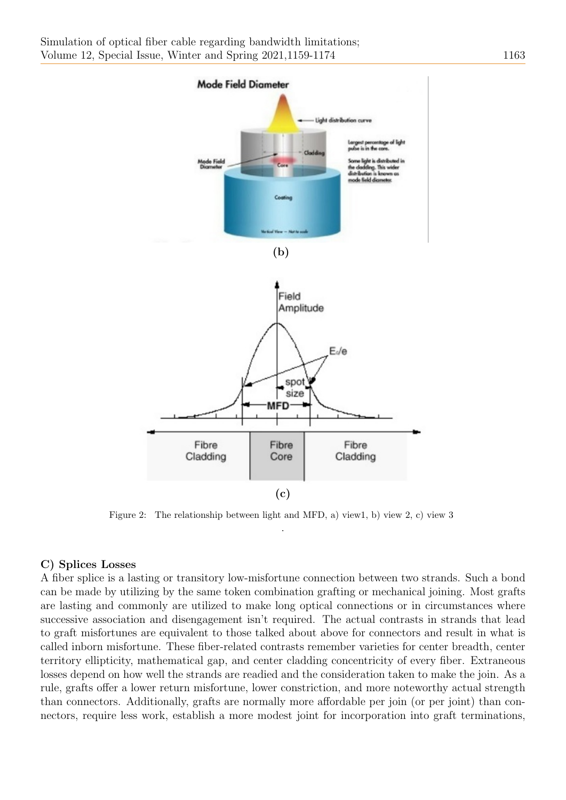

<span id="page-4-0"></span>Figure 2: The relationship between light and MFD, a) view1, b) view 2, c) view 3 .

#### C) Splices Losses

A fiber splice is a lasting or transitory low-misfortune connection between two strands. Such a bond can be made by utilizing by the same token combination grafting or mechanical joining. Most grafts are lasting and commonly are utilized to make long optical connections or in circumstances where successive association and disengagement isn't required. The actual contrasts in strands that lead to graft misfortunes are equivalent to those talked about above for connectors and result in what is called inborn misfortune. These fiber-related contrasts remember varieties for center breadth, center territory ellipticity, mathematical gap, and center cladding concentricity of every fiber. Extraneous losses depend on how well the strands are readied and the consideration taken to make the join. As a rule, grafts offer a lower return misfortune, lower constriction, and more noteworthy actual strength than connectors. Additionally, grafts are normally more affordable per join (or per joint) than connectors, require less work, establish a more modest joint for incorporation into graft terminations,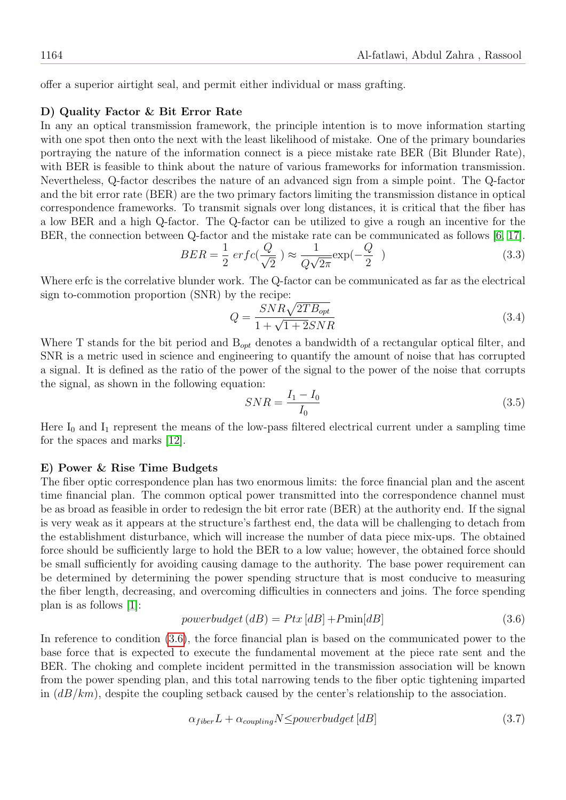offer a superior airtight seal, and permit either individual or mass grafting.

#### D) Quality Factor & Bit Error Rate

In any an optical transmission framework, the principle intention is to move information starting with one spot then onto the next with the least likelihood of mistake. One of the primary boundaries portraying the nature of the information connect is a piece mistake rate BER (Bit Blunder Rate), with BER is feasible to think about the nature of various frameworks for information transmission. Nevertheless, Q-factor describes the nature of an advanced sign from a simple point. The Q-factor and the bit error rate (BER) are the two primary factors limiting the transmission distance in optical correspondence frameworks. To transmit signals over long distances, it is critical that the fiber has a low BER and a high Q-factor. The Q-factor can be utilized to give a rough an incentive for the BER, the connection between Q-factor and the mistake rate can be communicated as follows [\[6,](#page-15-8) [17\]](#page-15-9).

$$
BER = \frac{1}{2} \operatorname{erfc}(\frac{Q}{\sqrt{2}}) \approx \frac{1}{Q\sqrt{2\pi}} \exp(-\frac{Q}{2})
$$
\n(3.3)

Where erfc is the correlative blunder work. The Q-factor can be communicated as far as the electrical sign to-commotion proportion (SNR) by the recipe:

$$
Q = \frac{SNR\sqrt{2TB_{opt}}}{1 + \sqrt{1 + 2}SNR}
$$
\n(3.4)

Where T stands for the bit period and  $B_{opt}$  denotes a bandwidth of a rectangular optical filter, and SNR is a metric used in science and engineering to quantify the amount of noise that has corrupted a signal. It is defined as the ratio of the power of the signal to the power of the noise that corrupts the signal, as shown in the following equation:

$$
SNR = \frac{I_1 - I_0}{I_0} \tag{3.5}
$$

Here  $I_0$  and  $I_1$  represent the means of the low-pass filtered electrical current under a sampling time for the spaces and marks [\[12\]](#page-15-10).

#### E) Power & Rise Time Budgets

The fiber optic correspondence plan has two enormous limits: the force financial plan and the ascent time financial plan. The common optical power transmitted into the correspondence channel must be as broad as feasible in order to redesign the bit error rate (BER) at the authority end. If the signal is very weak as it appears at the structure's farthest end, the data will be challenging to detach from the establishment disturbance, which will increase the number of data piece mix-ups. The obtained force should be sufficiently large to hold the BER to a low value; however, the obtained force should be small sufficiently for avoiding causing damage to the authority. The base power requirement can be determined by determining the power spending structure that is most conducive to measuring the fiber length, decreasing, and overcoming difficulties in connecters and joins. The force spending plan is as follows [\[1\]](#page-15-11):

<span id="page-5-0"></span>
$$
powerbudget (dB) = Ptx [dB] + Pmin[dB]
$$
\n(3.6)

In reference to condition [\(3.6\)](#page-5-0), the force financial plan is based on the communicated power to the base force that is expected to execute the fundamental movement at the piece rate sent and the BER. The choking and complete incident permitted in the transmission association will be known from the power spending plan, and this total narrowing tends to the fiber optic tightening imparted in  $(dB/km)$ , despite the coupling setback caused by the center's relationship to the association.

$$
\alpha_{fiber} L + \alpha_{coupling} N \leq powerbudget \, [dB] \tag{3.7}
$$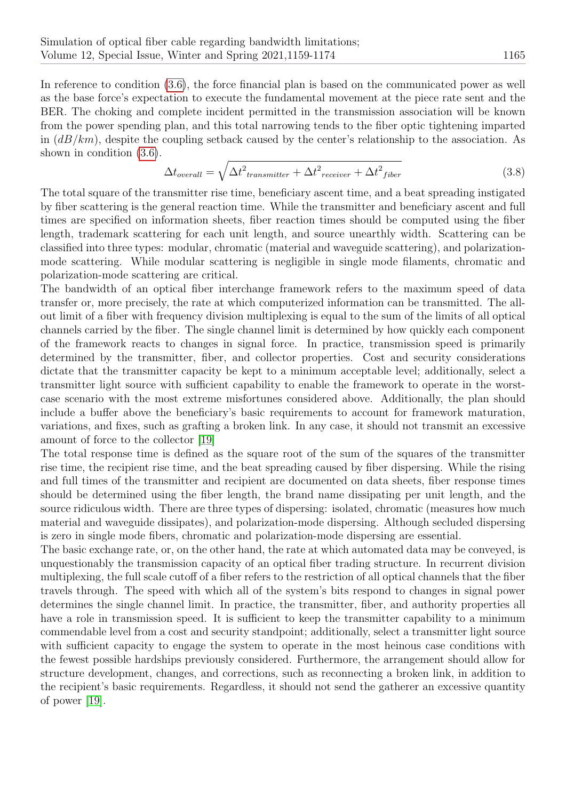In reference to condition [\(3.6\)](#page-5-0), the force financial plan is based on the communicated power as well as the base force's expectation to execute the fundamental movement at the piece rate sent and the BER. The choking and complete incident permitted in the transmission association will be known from the power spending plan, and this total narrowing tends to the fiber optic tightening imparted in  $(dB/km)$ , despite the coupling setback caused by the center's relationship to the association. As shown in condition [\(3.6\)](#page-5-0).

$$
\Delta t_{overall} = \sqrt{\Delta t^2_{transmitter} + \Delta t^2_{receiver} + \Delta t^2_{fiber}}
$$
\n(3.8)

The total square of the transmitter rise time, beneficiary ascent time, and a beat spreading instigated by fiber scattering is the general reaction time. While the transmitter and beneficiary ascent and full times are specified on information sheets, fiber reaction times should be computed using the fiber length, trademark scattering for each unit length, and source unearthly width. Scattering can be classified into three types: modular, chromatic (material and waveguide scattering), and polarizationmode scattering. While modular scattering is negligible in single mode filaments, chromatic and polarization-mode scattering are critical.

The bandwidth of an optical fiber interchange framework refers to the maximum speed of data transfer or, more precisely, the rate at which computerized information can be transmitted. The allout limit of a fiber with frequency division multiplexing is equal to the sum of the limits of all optical channels carried by the fiber. The single channel limit is determined by how quickly each component of the framework reacts to changes in signal force. In practice, transmission speed is primarily determined by the transmitter, fiber, and collector properties. Cost and security considerations dictate that the transmitter capacity be kept to a minimum acceptable level; additionally, select a transmitter light source with sufficient capability to enable the framework to operate in the worstcase scenario with the most extreme misfortunes considered above. Additionally, the plan should include a buffer above the beneficiary's basic requirements to account for framework maturation, variations, and fixes, such as grafting a broken link. In any case, it should not transmit an excessive amount of force to the collector [\[19\]](#page-15-4)

The total response time is defined as the square root of the sum of the squares of the transmitter rise time, the recipient rise time, and the beat spreading caused by fiber dispersing. While the rising and full times of the transmitter and recipient are documented on data sheets, fiber response times should be determined using the fiber length, the brand name dissipating per unit length, and the source ridiculous width. There are three types of dispersing: isolated, chromatic (measures how much material and waveguide dissipates), and polarization-mode dispersing. Although secluded dispersing is zero in single mode fibers, chromatic and polarization-mode dispersing are essential.

The basic exchange rate, or, on the other hand, the rate at which automated data may be conveyed, is unquestionably the transmission capacity of an optical fiber trading structure. In recurrent division multiplexing, the full scale cutoff of a fiber refers to the restriction of all optical channels that the fiber travels through. The speed with which all of the system's bits respond to changes in signal power determines the single channel limit. In practice, the transmitter, fiber, and authority properties all have a role in transmission speed. It is sufficient to keep the transmitter capability to a minimum commendable level from a cost and security standpoint; additionally, select a transmitter light source with sufficient capacity to engage the system to operate in the most heinous case conditions with the fewest possible hardships previously considered. Furthermore, the arrangement should allow for structure development, changes, and corrections, such as reconnecting a broken link, in addition to the recipient's basic requirements. Regardless, it should not send the gatherer an excessive quantity of power [\[19\]](#page-15-4).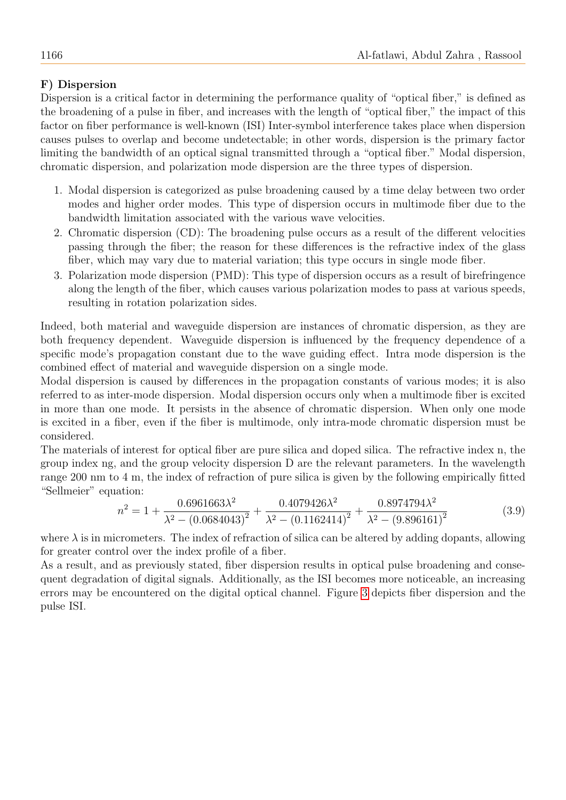# F) Dispersion

Dispersion is a critical factor in determining the performance quality of "optical fiber," is defined as the broadening of a pulse in fiber, and increases with the length of "optical fiber," the impact of this factor on fiber performance is well-known (ISI) Inter-symbol interference takes place when dispersion causes pulses to overlap and become undetectable; in other words, dispersion is the primary factor limiting the bandwidth of an optical signal transmitted through a "optical fiber." Modal dispersion, chromatic dispersion, and polarization mode dispersion are the three types of dispersion.

- 1. Modal dispersion is categorized as pulse broadening caused by a time delay between two order modes and higher order modes. This type of dispersion occurs in multimode fiber due to the bandwidth limitation associated with the various wave velocities.
- 2. Chromatic dispersion (CD): The broadening pulse occurs as a result of the different velocities passing through the fiber; the reason for these differences is the refractive index of the glass fiber, which may vary due to material variation; this type occurs in single mode fiber.
- 3. Polarization mode dispersion (PMD): This type of dispersion occurs as a result of birefringence along the length of the fiber, which causes various polarization modes to pass at various speeds, resulting in rotation polarization sides.

Indeed, both material and waveguide dispersion are instances of chromatic dispersion, as they are both frequency dependent. Waveguide dispersion is influenced by the frequency dependence of a specific mode's propagation constant due to the wave guiding effect. Intra mode dispersion is the combined effect of material and waveguide dispersion on a single mode.

Modal dispersion is caused by differences in the propagation constants of various modes; it is also referred to as inter-mode dispersion. Modal dispersion occurs only when a multimode fiber is excited in more than one mode. It persists in the absence of chromatic dispersion. When only one mode is excited in a fiber, even if the fiber is multimode, only intra-mode chromatic dispersion must be considered.

The materials of interest for optical fiber are pure silica and doped silica. The refractive index n, the group index ng, and the group velocity dispersion D are the relevant parameters. In the wavelength range 200 nm to 4 m, the index of refraction of pure silica is given by the following empirically fitted "Sellmeier" equation:

$$
n^2 = 1 + \frac{0.6961663\lambda^2}{\lambda^2 - (0.0684043)^2} + \frac{0.4079426\lambda^2}{\lambda^2 - (0.1162414)^2} + \frac{0.8974794\lambda^2}{\lambda^2 - (9.896161)^2}
$$
(3.9)

where  $\lambda$  is in micrometers. The index of refraction of silica can be altered by adding dopants, allowing for greater control over the index profile of a fiber.

As a result, and as previously stated, fiber dispersion results in optical pulse broadening and consequent degradation of digital signals. Additionally, as the ISI becomes more noticeable, an increasing errors may be encountered on the digital optical channel. Figure [3](#page-8-0) depicts fiber dispersion and the pulse ISI.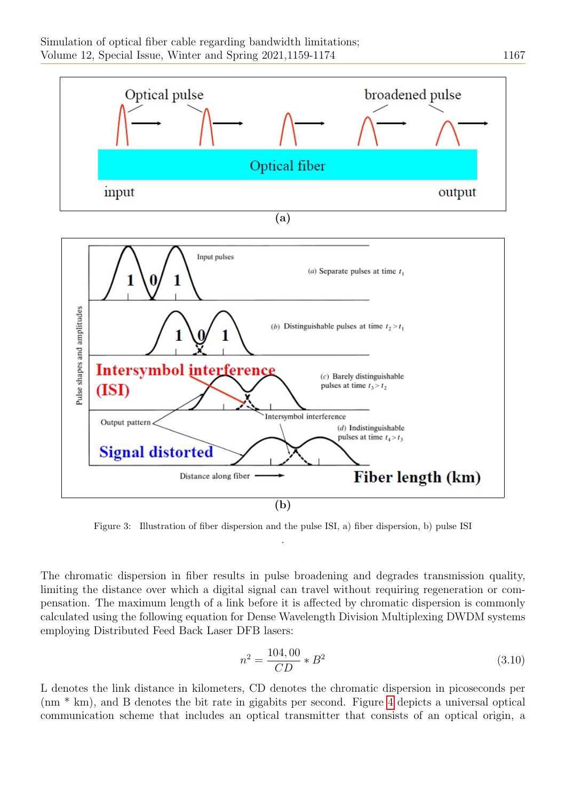

<span id="page-8-0"></span>Figure 3: Illustration of fiber dispersion and the pulse ISI, a) fiber dispersion, b) pulse ISI .

The chromatic dispersion in fiber results in pulse broadening and degrades transmission quality, limiting the distance over which a digital signal can travel without requiring regeneration or compensation. The maximum length of a link before it is affected by chromatic dispersion is commonly calculated using the following equation for Dense Wavelength Division Multiplexing DWDM systems employing Distributed Feed Back Laser DFB lasers:

$$
n^2 = \frac{104,00}{CD} * B^2 \tag{3.10}
$$

L denotes the link distance in kilometers, CD denotes the chromatic dispersion in picoseconds per (nm \* km), and B denotes the bit rate in gigabits per second. Figure [4](#page-9-0) depicts a universal optical communication scheme that includes an optical transmitter that consists of an optical origin, a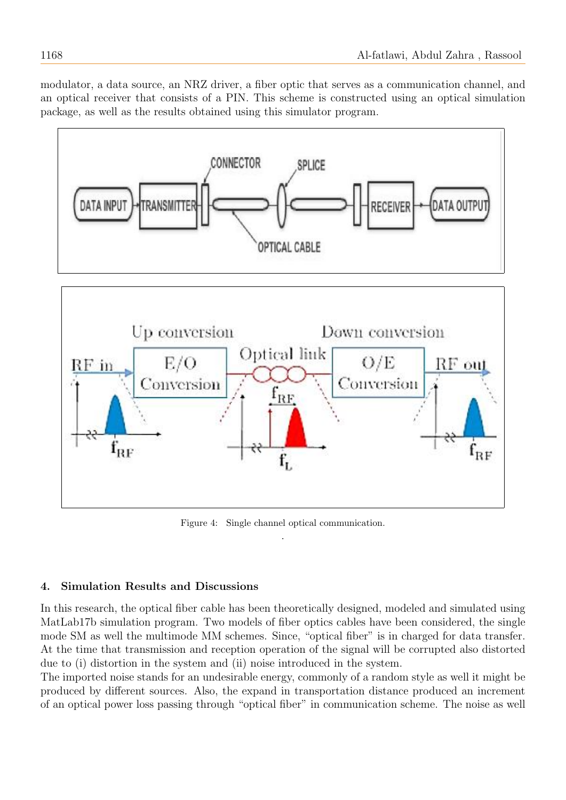modulator, a data source, an NRZ driver, a fiber optic that serves as a communication channel, and an optical receiver that consists of a PIN. This scheme is constructed using an optical simulation package, as well as the results obtained using this simulator program.



<span id="page-9-0"></span>Figure 4: Single channel optical communication. .

# 4. Simulation Results and Discussions

In this research, the optical fiber cable has been theoretically designed, modeled and simulated using MatLab17b simulation program. Two models of fiber optics cables have been considered, the single mode SM as well the multimode MM schemes. Since, "optical fiber" is in charged for data transfer. At the time that transmission and reception operation of the signal will be corrupted also distorted due to (i) distortion in the system and (ii) noise introduced in the system.

The imported noise stands for an undesirable energy, commonly of a random style as well it might be produced by different sources. Also, the expand in transportation distance produced an increment of an optical power loss passing through "optical fiber" in communication scheme. The noise as well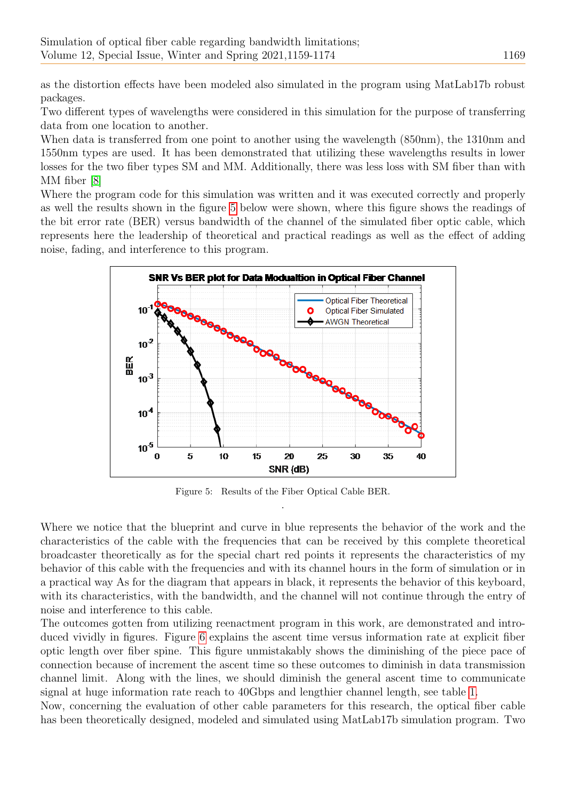as the distortion effects have been modeled also simulated in the program using MatLab17b robust packages.

Two different types of wavelengths were considered in this simulation for the purpose of transferring data from one location to another.

When data is transferred from one point to another using the wavelength (850nm), the 1310nm and 1550nm types are used. It has been demonstrated that utilizing these wavelengths results in lower losses for the two fiber types SM and MM. Additionally, there was less loss with SM fiber than with MM fiber [\[8\]](#page-15-12)

Where the program code for this simulation was written and it was executed correctly and properly as well the results shown in the figure [5](#page-10-0) below were shown, where this figure shows the readings of the bit error rate (BER) versus bandwidth of the channel of the simulated fiber optic cable, which represents here the leadership of theoretical and practical readings as well as the effect of adding noise, fading, and interference to this program.



<span id="page-10-0"></span>Figure 5: Results of the Fiber Optical Cable BER. .

Where we notice that the blueprint and curve in blue represents the behavior of the work and the characteristics of the cable with the frequencies that can be received by this complete theoretical broadcaster theoretically as for the special chart red points it represents the characteristics of my behavior of this cable with the frequencies and with its channel hours in the form of simulation or in a practical way As for the diagram that appears in black, it represents the behavior of this keyboard, with its characteristics, with the bandwidth, and the channel will not continue through the entry of noise and interference to this cable.

The outcomes gotten from utilizing reenactment program in this work, are demonstrated and introduced vividly in figures. Figure [6](#page-11-0) explains the ascent time versus information rate at explicit fiber optic length over fiber spine. This figure unmistakably shows the diminishing of the piece pace of connection because of increment the ascent time so these outcomes to diminish in data transmission channel limit. Along with the lines, we should diminish the general ascent time to communicate signal at huge information rate reach to 40Gbps and lengthier channel length, see table [1.](#page-11-1)

Now, concerning the evaluation of other cable parameters for this research, the optical fiber cable has been theoretically designed, modeled and simulated using MatLab17b simulation program. Two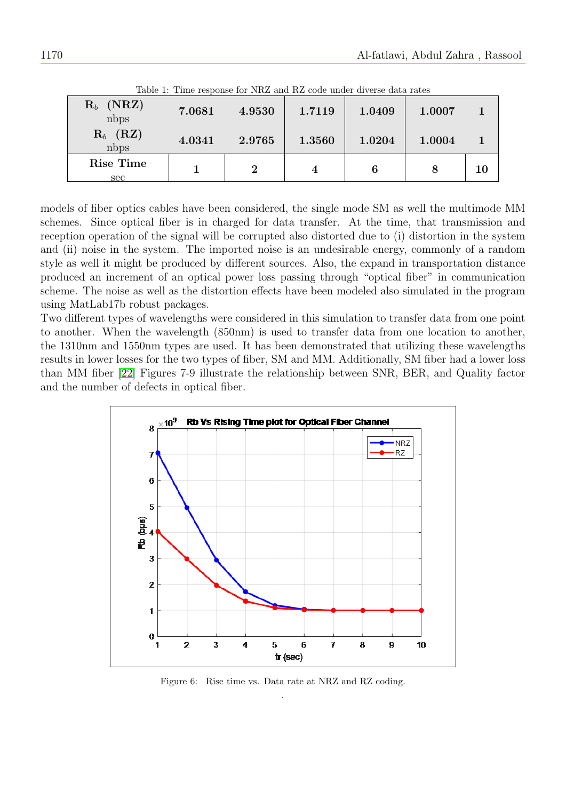| $\mathbf{R}_b$ (NRZ)<br>nbps         | 7.0681 | 4.9530   | 1.7119 | 1.0409 | 1.0007 |    |
|--------------------------------------|--------|----------|--------|--------|--------|----|
| $\mathbf{R}_b$ (RZ)<br>$n_{\rm bps}$ | 4.0341 | 2.9765   | 1.3560 | 1.0204 | 1.0004 |    |
| Rise Time<br>sec                     |        | $\bf{2}$ |        | 6      | 8      | 10 |

<span id="page-11-1"></span>Table 1: Time response for NRZ and RZ code under diverse data rates

models of fiber optics cables have been considered, the single mode SM as well the multimode MM schemes. Since optical fiber is in charged for data transfer. At the time, that transmission and reception operation of the signal will be corrupted also distorted due to (i) distortion in the system and (ii) noise in the system. The imported noise is an undesirable energy, commonly of a random style as well it might be produced by different sources. Also, the expand in transportation distance produced an increment of an optical power loss passing through "optical fiber" in communication scheme. The noise as well as the distortion effects have been modeled also simulated in the program using MatLab17b robust packages.

Two different types of wavelengths were considered in this simulation to transfer data from one point to another. When the wavelength (850nm) is used to transfer data from one location to another, the 1310nm and 1550nm types are used. It has been demonstrated that utilizing these wavelengths results in lower losses for the two types of fiber, SM and MM. Additionally, SM fiber had a lower loss than MM fiber [\[22\]](#page-15-13) Figures 7-9 illustrate the relationship between SNR, BER, and Quality factor and the number of defects in optical fiber.



<span id="page-11-0"></span>Figure 6: Rise time vs. Data rate at NRZ and RZ coding. .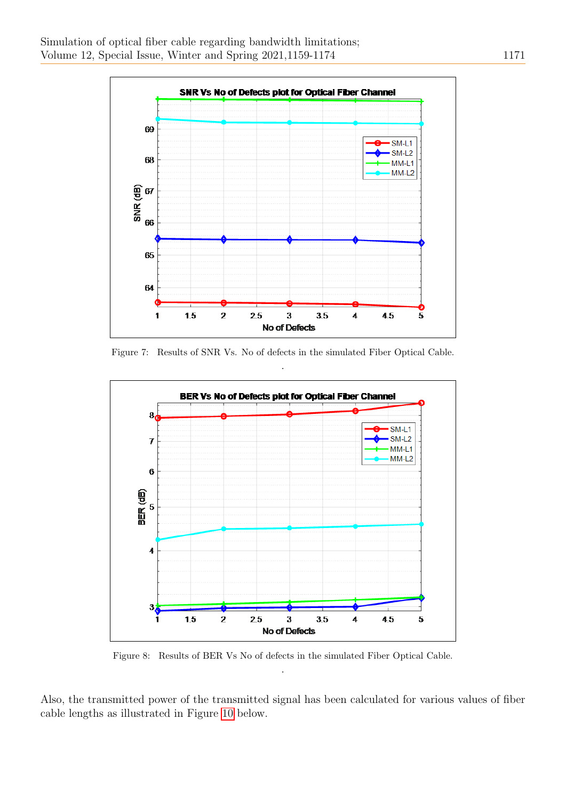

Figure 7: Results of SNR Vs. No of defects in the simulated Fiber Optical Cable. .



Figure 8: Results of BER Vs No of defects in the simulated Fiber Optical Cable. .

Also, the transmitted power of the transmitted signal has been calculated for various values of fiber cable lengths as illustrated in Figure [10](#page-13-0) below.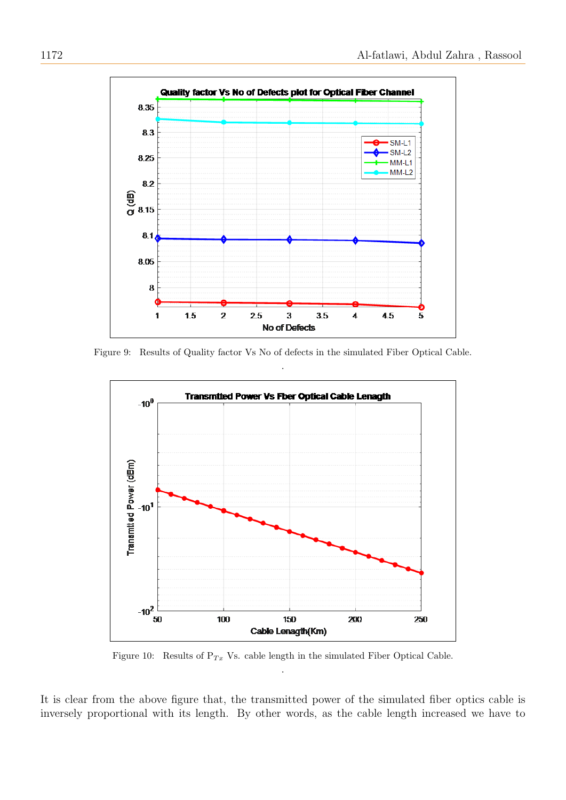

Figure 9: Results of Quality factor Vs No of defects in the simulated Fiber Optical Cable. .



<span id="page-13-0"></span>Figure 10: Results of  $P_{Tx}$  Vs. cable length in the simulated Fiber Optical Cable. .

It is clear from the above figure that, the transmitted power of the simulated fiber optics cable is inversely proportional with its length. By other words, as the cable length increased we have to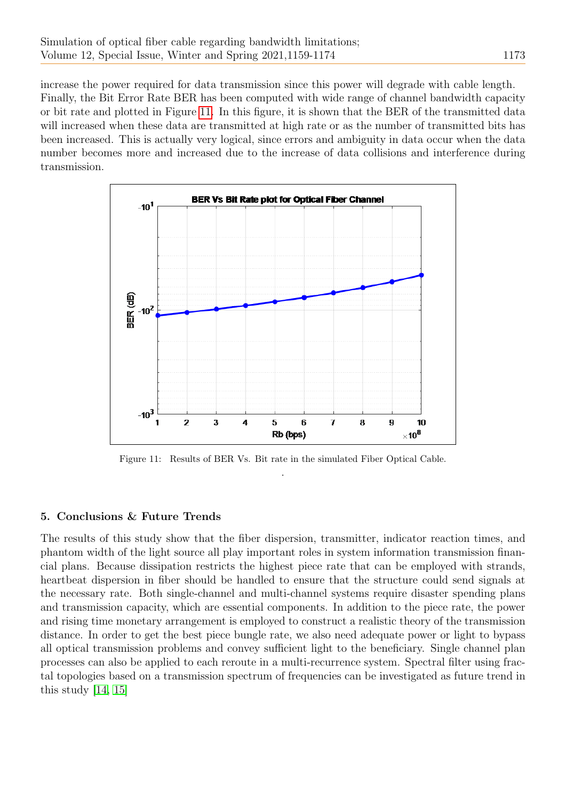increase the power required for data transmission since this power will degrade with cable length. Finally, the Bit Error Rate BER has been computed with wide range of channel bandwidth capacity or bit rate and plotted in Figure [11.](#page-14-0) In this figure, it is shown that the BER of the transmitted data will increased when these data are transmitted at high rate or as the number of transmitted bits has been increased. This is actually very logical, since errors and ambiguity in data occur when the data number becomes more and increased due to the increase of data collisions and interference during transmission.



<span id="page-14-0"></span>Figure 11: Results of BER Vs. Bit rate in the simulated Fiber Optical Cable. .

# 5. Conclusions & Future Trends

The results of this study show that the fiber dispersion, transmitter, indicator reaction times, and phantom width of the light source all play important roles in system information transmission financial plans. Because dissipation restricts the highest piece rate that can be employed with strands, heartbeat dispersion in fiber should be handled to ensure that the structure could send signals at the necessary rate. Both single-channel and multi-channel systems require disaster spending plans and transmission capacity, which are essential components. In addition to the piece rate, the power and rising time monetary arrangement is employed to construct a realistic theory of the transmission distance. In order to get the best piece bungle rate, we also need adequate power or light to bypass all optical transmission problems and convey sufficient light to the beneficiary. Single channel plan processes can also be applied to each reroute in a multi-recurrence system. Spectral filter using fractal topologies based on a transmission spectrum of frequencies can be investigated as future trend in this study [\[14,](#page-15-14) [15\]](#page-15-15)